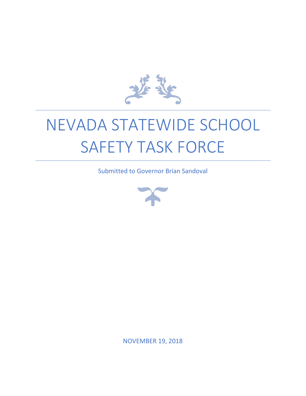

# NEVADA STATEWIDE SCHOOL SAFETY TASK FORCE

Submitted to Governor Brian Sandoval



NOVEMBER 19, 2018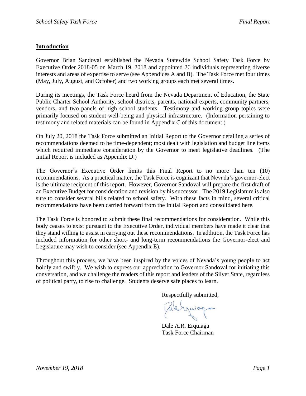#### **Introduction**

Governor Brian Sandoval established the Nevada Statewide School Safety Task Force by Executive Order 2018-05 on March 19, 2018 and appointed 26 individuals representing diverse interests and areas of expertise to serve (see Appendices A and B). The Task Force met four times (May, July, August, and October) and two working groups each met several times.

During its meetings, the Task Force heard from the Nevada Department of Education, the State Public Charter School Authority, school districts, parents, national experts, community partners, vendors, and two panels of high school students. Testimony and working group topics were primarily focused on student well-being and physical infrastructure. (Information pertaining to testimony and related materials can be found in Appendix C of this document.)

On July 20, 2018 the Task Force submitted an Initial Report to the Governor detailing a series of recommendations deemed to be time-dependent; most dealt with legislation and budget line items which required immediate consideration by the Governor to meet legislative deadlines. (The Initial Report is included as Appendix D.)

The Governor's Executive Order limits this Final Report to no more than ten (10) recommendations. As a practical matter, the Task Force is cognizant that Nevada's governor-elect is the ultimate recipient of this report. However, Governor Sandoval will prepare the first draft of an Executive Budget for consideration and revision by his successor. The 2019 Legislature is also sure to consider several bills related to school safety. With these facts in mind, several critical recommendations have been carried forward from the Initial Report and consolidated here.

The Task Force is honored to submit these final recommendations for consideration. While this body ceases to exist pursuant to the Executive Order, individual members have made it clear that they stand willing to assist in carrying out these recommendations. In addition, the Task Force has included information for other short- and long-term recommendations the Governor-elect and Legislature may wish to consider (see Appendix E).

Throughout this process, we have been inspired by the voices of Nevada's young people to act boldly and swiftly. We wish to express our appreciation to Governor Sandoval for initiating this conversation, and we challenge the readers of this report and leaders of the Silver State, regardless of political party, to rise to challenge. Students deserve safe places to learn.

Respectfully submitted,

Palenquing

Dale A.R. Erquiaga Task Force Chairman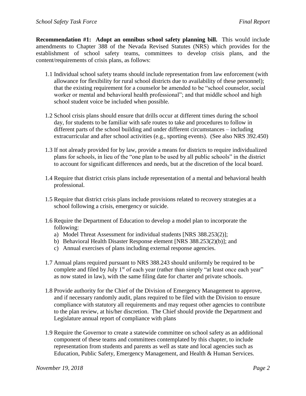**Recommendation #1: Adopt an omnibus school safety planning bill.** This would include amendments to Chapter 388 of the Nevada Revised Statutes (NRS) which provides for the establishment of school safety teams, committees to develop crisis plans, and the content/requirements of crisis plans, as follows:

- 1.1 Individual school safety teams should include representation from law enforcement (with allowance for flexibility for rural school districts due to availability of these personnel); that the existing requirement for a counselor be amended to be "school counselor, social worker or mental and behavioral health professional"; and that middle school and high school student voice be included when possible.
- 1.2 School crisis plans should ensure that drills occur at different times during the school day, for students to be familiar with safe routes to take and procedures to follow in different parts of the school building and under different circumstances – including extracurricular and after school activities (e.g., sporting events). (See also NRS 392.450)
- 1.3 If not already provided for by law, provide a means for districts to require individualized plans for schools, in lieu of the "one plan to be used by all public schools" in the district to account for significant differences and needs, but at the discretion of the local board.
- 1.4 Require that district crisis plans include representation of a mental and behavioral health professional.
- 1.5 Require that district crisis plans include provisions related to recovery strategies at a school following a crisis, emergency or suicide.
- 1.6 Require the Department of Education to develop a model plan to incorporate the following:
	- a) Model Threat Assessment for individual students [NRS 388.253(2)];
	- b) Behavioral Health Disaster Response element [NRS 388.253(2)(b)]; and
	- c) Annual exercises of plans including external response agencies.
- 1.7 Annual plans required pursuant to NRS 388.243 should uniformly be required to be complete and filed by July  $1<sup>st</sup>$  of each year (rather than simply "at least once each year" as now stated in law), with the same filing date for charter and private schools.
- 1.8 Provide authority for the Chief of the Division of Emergency Management to approve, and if necessary randomly audit, plans required to be filed with the Division to ensure compliance with statutory all requirements and may request other agencies to contribute to the plan review, at his/her discretion. The Chief should provide the Department and Legislature annual report of compliance with plans
- 1.9 Require the Governor to create a statewide committee on school safety as an additional component of these teams and committees contemplated by this chapter, to include representation from students and parents as well as state and local agencies such as Education, Public Safety, Emergency Management, and Health & Human Services.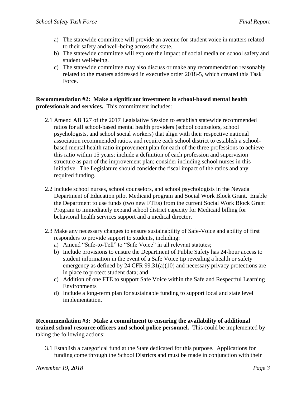- a) The statewide committee will provide an avenue for student voice in matters related to their safety and well-being across the state.
- b) The statewide committee will explore the impact of social media on school safety and student well-being.
- c) The statewide committee may also discuss or make any recommendation reasonably related to the matters addressed in executive order 2018-5, which created this Task Force.

#### **Recommendation #2: Make a significant investment in school-based mental health professionals and services.** This commitment includes:

- 2.1 Amend AB 127 of the 2017 Legislative Session to establish statewide recommended ratios for all school-based mental health providers (school counselors, school psychologists, and school social workers) that align with their respective national association recommended ratios, and require each school district to establish a schoolbased mental health ratio improvement plan for each of the three professions to achieve this ratio within 15 years; include a definition of each profession and supervision structure as part of the improvement plan; consider including school nurses in this initiative. The Legislature should consider the fiscal impact of the ratios and any required funding.
- 2.2 Include school nurses, school counselors, and school psychologists in the Nevada Department of Education pilot Medicaid program and Social Work Block Grant. Enable the Department to use funds (two new FTEs) from the current Social Work Block Grant Program to immediately expand school district capacity for Medicaid billing for behavioral health services support and a medical director.
- 2.3 Make any necessary changes to ensure sustainability of Safe-Voice and ability of first responders to provide support to students, including:
	- a) Amend "Safe-to-Tell" to "Safe Voice" in all relevant statutes;
	- b) Include provisions to ensure the Department of Public Safety has 24-hour access to student information in the event of a Safe Voice tip revealing a health or safety emergency as defined by 24 CFR 99.31(a)(10) and necessary privacy protections are in place to protect student data; and
	- c) Addition of one FTE to support Safe Voice within the Safe and Respectful Learning Environments
	- d) Include a long-term plan for sustainable funding to support local and state level implementation.

**Recommendation #3: Make a commitment to ensuring the availability of additional trained school resource officers and school police personnel.** This could be implemented by taking the following actions:

3.1 Establish a categorical fund at the State dedicated for this purpose. Applications for funding come through the School Districts and must be made in conjunction with their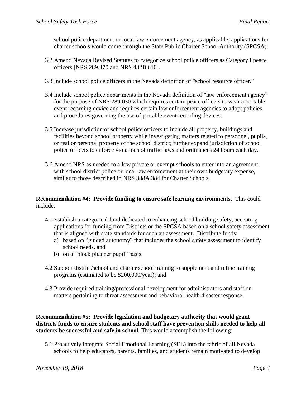school police department or local law enforcement agency, as applicable; applications for charter schools would come through the State Public Charter School Authority (SPCSA).

- 3.2 Amend Nevada Revised Statutes to categorize school police officers as Category I peace officers [NRS 289.470 and NRS 432B.610].
- 3.3 Include school police officers in the Nevada definition of "school resource officer."
- 3.4 Include school police departments in the Nevada definition of "law enforcement agency" for the purpose of NRS 289.030 which requires certain peace officers to wear a portable event recording device and requires certain law enforcement agencies to adopt policies and procedures governing the use of portable event recording devices.
- 3.5 Increase jurisdiction of school police officers to include all property, buildings and facilities beyond school property while investigating matters related to personnel, pupils, or real or personal property of the school district; further expand jurisdiction of school police officers to enforce violations of traffic laws and ordinances 24 hours each day.
- 3.6 Amend NRS as needed to allow private or exempt schools to enter into an agreement with school district police or local law enforcement at their own budgetary expense, similar to those described in NRS 388A.384 for Charter Schools.

#### **Recommendation #4: Provide funding to ensure safe learning environments.** This could include:

- 4.1 Establish a categorical fund dedicated to enhancing school building safety, accepting applications for funding from Districts or the SPCSA based on a school safety assessment that is aligned with state standards for such an assessment. Distribute funds:
	- a) based on "guided autonomy" that includes the school safety assessment to identify school needs, and
	- b) on a "block plus per pupil" basis.
- 4.2 Support district/school and charter school training to supplement and refine training programs (estimated to be \$200,000/year); and
- 4.3 Provide required training/professional development for administrators and staff on matters pertaining to threat assessment and behavioral health disaster response.

**Recommendation #5: Provide legislation and budgetary authority that would grant districts funds to ensure students and school staff have prevention skills needed to help all students be successful and safe in school.** This would accomplish the following:

5.1 Proactively integrate Social Emotional Learning (SEL) into the fabric of all Nevada schools to help educators, parents, families, and students remain motivated to develop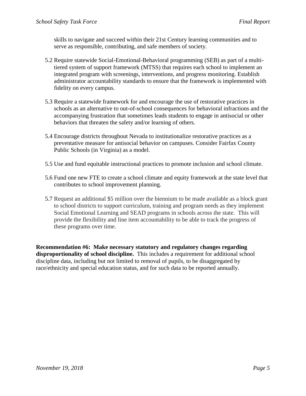skills to navigate and succeed within their 21st Century learning communities and to serve as responsible, contributing, and safe members of society.

- 5.2 Require statewide Social-Emotional-Behavioral programming (SEB) as part of a multitiered system of support framework (MTSS) that requires each school to implement an integrated program with screenings, interventions, and progress monitoring. Establish administrator accountability standards to ensure that the framework is implemented with fidelity on every campus.
- 5.3 Require a statewide framework for and encourage the use of restorative practices in schools as an alternative to out-of-school consequences for behavioral infractions and the accompanying frustration that sometimes leads students to engage in antisocial or other behaviors that threaten the safety and/or learning of others.
- 5.4 Encourage districts throughout Nevada to institutionalize restorative practices as a preventative measure for antisocial behavior on campuses. Consider Fairfax County Public Schools (in Virginia) as a model.
- 5.5 Use and fund equitable instructional practices to promote inclusion and school climate.
- 5.6 Fund one new FTE to create a school climate and equity framework at the state level that contributes to school improvement planning.
- 5.7 Request an additional \$5 million over the biennium to be made available as a block grant to school districts to support curriculum, training and program needs as they implement Social Emotional Learning and SEAD programs in schools across the state. This will provide the flexibility and line item accountability to be able to track the progress of these programs over time.

**Recommendation #6: Make necessary statutory and regulatory changes regarding disproportionality of school discipline.** This includes a requirement for additional school discipline data, including but not limited to removal of pupils, to be disaggregated by race/ethnicity and special education status, and for such data to be reported annually.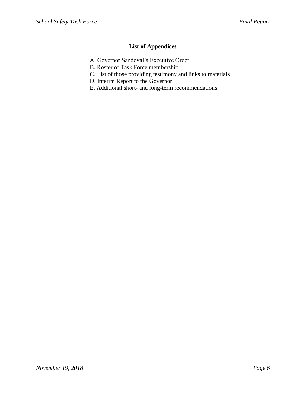## **List of Appendices**

- A. Governor Sandoval's Executive Order
- B. Roster of Task Force membership
- C. List of those providing testimony and links to materials
- D. Interim Report to the Governor
- E. Additional short- and long-term recommendations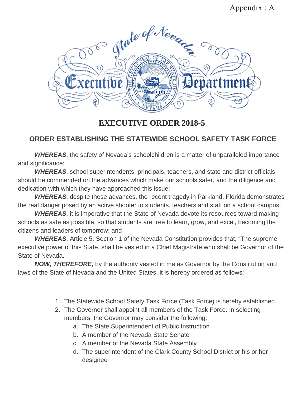# Appendix : A



# **EXECUTIVE ORDER 2018-5**

# **ORDER ESTABLISHING THE STATEWIDE SCHOOL SAFETY TASK FORCE**

*WHEREAS*, the safety of Nevada's schoolchildren is a matter of unparalleled importance and significance;

*WHEREAS*, school superintendents, principals, teachers, and state and district officials should be commended on the advances which make our schools safer, and the diligence and dedication with which they have approached this issue;

*WHEREAS*, despite these advances, the recent tragedy in Parkland, Florida demonstrates the real danger posed by an active shooter to students, teachers and staff on a school campus;

*WHEREAS*, it is imperative that the State of Nevada devote its resources toward making schools as safe as possible, so that students are free to learn, grow, and excel, becoming the citizens and leaders of tomorrow; and

*WHEREAS*, Article 5, Section 1 of the Nevada Constitution provides that, "The supreme executive power of this State, shall be vested in a Chief Magistrate who shall be Governor of the State of Nevada."

*NOW, THEREFORE,* by the authority vested in me as Governor by the Constitution and laws of the State of Nevada and the United States, it is hereby ordered as follows:

- 1. The Statewide School Safety Task Force (Task Force) is hereby established.
- 2. The Governor shall appoint all members of the Task Force. In selecting members, the Governor may consider the following:
	- a. The State Superintendent of Public Instruction
	- b. A member of the Nevada State Senate
	- c. A member of the Nevada State Assembly
	- d. The superintendent of the Clark County School District or his or her designee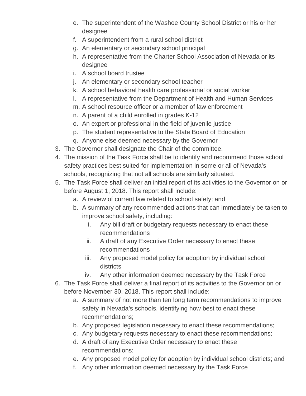- e. The superintendent of the Washoe County School District or his or her designee
- f. A superintendent from a rural school district
- g. An elementary or secondary school principal
- h. A representative from the Charter School Association of Nevada or its designee
- i. A school board trustee
- j. An elementary or secondary school teacher
- k. A school behavioral health care professional or social worker
- l. A representative from the Department of Health and Human Services
- m. A school resource officer or a member of law enforcement
- n. A parent of a child enrolled in grades K-12
- o. An expert or professional in the field of juvenile justice
- p. The student representative to the State Board of Education
- q. Anyone else deemed necessary by the Governor
- 3. The Governor shall designate the Chair of the committee.
- 4. The mission of the Task Force shall be to identify and recommend those school safety practices best suited for implementation in some or all of Nevada's schools, recognizing that not all schools are similarly situated.
- 5. The Task Force shall deliver an initial report of its activities to the Governor on or before August 1, 2018. This report shall include:
	- a. A review of current law related to school safety; and
	- b. A summary of any recommended actions that can immediately be taken to improve school safety, including:
		- i. Any bill draft or budgetary requests necessary to enact these recommendations
		- ii. A draft of any Executive Order necessary to enact these recommendations
		- iii. Any proposed model policy for adoption by individual school districts
		- iv. Any other information deemed necessary by the Task Force
- 6. The Task Force shall deliver a final report of its activities to the Governor on or before November 30, 2018. This report shall include:
	- a. A summary of not more than ten long term recommendations to improve safety in Nevada's schools, identifying how best to enact these recommendations;
	- b. Any proposed legislation necessary to enact these recommendations;
	- c. Any budgetary requests necessary to enact these recommendations;
	- d. A draft of any Executive Order necessary to enact these recommendations;
	- e. Any proposed model policy for adoption by individual school districts; and
	- f. Any other information deemed necessary by the Task Force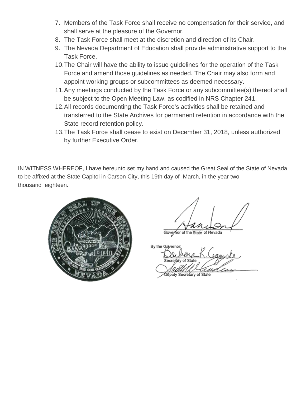- 7. Members of the Task Force shall receive no compensation for their service, and shall serve at the pleasure of the Governor.
- 8. The Task Force shall meet at the discretion and direction of its Chair.
- 9. The Nevada Department of Education shall provide administrative support to the Task Force.
- 10.The Chair will have the ability to issue guidelines for the operation of the Task Force and amend those guidelines as needed. The Chair may also form and appoint working groups or subcommittees as deemed necessary.
- 11.Any meetings conducted by the Task Force or any subcommittee(s) thereof shall be subject to the Open Meeting Law, as codified in NRS Chapter 241.
- 12.All records documenting the Task Force's activities shall be retained and transferred to the State Archives for permanent retention in accordance with the State record retention policy.
- 13.The Task Force shall cease to exist on December 31, 2018, unless authorized by further Executive Order.

IN WITNESS WHEREOF, I have hereunto set my hand and caused the Great Seal of the State of Nevada to be affixed at the State Capitol in Carson City, this 19th day of March, in the year two thousand eighteen.



Governor of the State of Nevada

By the Govern

Députy Secretary of State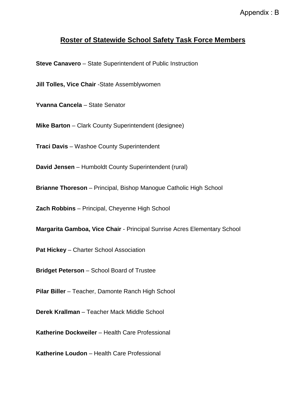# **Roster of Statewide School Safety Task Force Members**

**Steve Canavero** – State Superintendent of Public Instruction

**Jill Tolles, Vice Chair** -State Assemblywomen

**Yvanna Cancela** – State Senator

**Mike Barton** – Clark County Superintendent (designee)

**Traci Davis** – Washoe County Superintendent

**David Jensen** – Humboldt County Superintendent (rural)

**Brianne Thoreson** – Principal, Bishop Manogue Catholic High School

**Zach Robbins** – Principal, Cheyenne High School

**Margarita Gamboa, Vice Chair** - Principal Sunrise Acres Elementary School

**Pat Hickey** – Charter School Association

**Bridget Peterson** – School Board of Trustee

**Pilar Biller** – Teacher, Damonte Ranch High School

**Derek Krallman** – Teacher Mack Middle School

**Katherine Dockweiler** – Health Care Professional

**Katherine Loudon** – Health Care Professional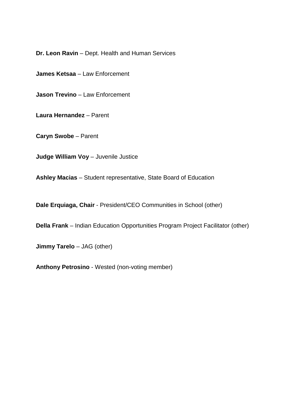**Dr. Leon Ravin** – Dept. Health and Human Services

**James Ketsaa** – Law Enforcement

**Jason Trevino** – Law Enforcement

**Laura Hernandez** – Parent

**Caryn Swobe** – Parent

**Judge William Voy** – Juvenile Justice

**Ashley Macias** – Student representative, State Board of Education

**Dale Erquiaga, Chair** - President/CEO Communities in School (other)

**Della Frank** – Indian Education Opportunities Program Project Facilitator (other)

**Jimmy Tarelo** – JAG (other)

**Anthony Petrosino** - Wested (non-voting member)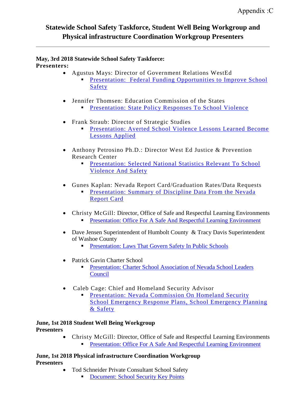# **Statewide School Safety Taskforce, Student Well Being Workgroup and Physical infrastructure Coordination Workgroup Presenters**

#### **May, 3rd 2018 Statewide School Safety Taskforce: Presenters:**

- Agustus Mays: Director of Government Relations WestEd
	- Presentation: Federal Funding Opportunities to Improve School Safety
- Jennifer Thomsen: Education Commission of the States
	- **Presentation: State Policy Responses To School Violence**
- Frank Straub: Director of Strategic Studies
	- Presentation: Averted School Violence Lessons Learned Become Lessons Applied
- Anthony Petrosino Ph.D.: Director West Ed Justice & Prevention Research Center
	- **Presentation: Selected National Statistics Relevant To School** Violence And Safety
- Gunes Kaplan: Nevada Report Card/Graduation Rates/Data Requests
	- **Presentation: Summary of Discipline Data From the Nevada** Report Card
- Christy McGill: Director, Office of Safe and Respectful Learning Environments Presentation: Office For A Safe And Respectful Learning Environment
	-
- Dave Jensen Superintendent of Humbolt County & Tracy Davis Superintendent of Washoe County
	- **Presentation: Laws That Govern Safety In Public Schools**
- Patrick Gavin Charter School
	- Presentation: Charter School Association of Nevada School Leaders Council
- Caleb Cage: Chief and Homeland Security Advisor
	- **Presentation: Nevada Commission On Homeland Security** School Emergency Response Plans, School Emergency Planning & Safety

#### **June, 1st 2018 Student Well Being Workgroup Presenters**

• Christy McGill: Director, Office of Safe and Respectful Learning Environments **Presentation: Office For A Safe And Respectful Learning Environment** 

**June, 1st 2018 Physical infrastructure Coordination Workgroup Presenters** 

- Tod Schneider Private Consultant School Safety
	- **[Document: School Security Key Points](http://www.doe.nv.gov/Boards_Commissions_Councils/StatewideSchoolSafetyTaskForce/Physical_Infrastructure_Coordination_Workgroup/)**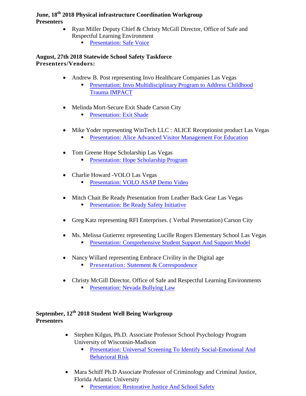#### **June, 18th 2018 Physical infrastructure Coordination Workgroup Presenters**

- Ryan Miller Deputy Chief & Christy McGill Director, Office of Safe and Respectful Learning Environment
	- **[Presentation: Safe Voice](http://www.doe.nv.gov/Boards_Commissions_Councils/StatewideSchoolSafetyTaskForce/2018/June/Support_Materials_Physical_Infrastructure/)**

## **August, 27th 2018 Statewide School Safety Taskforce Presenters/Vendors:**

- Andrew B. Post representing Invo Healthcare Companies Las Vegas
	- [Presentation: Invo Multidisciplinary Program to Address Childhood](http://www.doe.nv.gov/Boards_Commissions_Councils/StatewideSchoolSafetyTaskForce/2018/May/Support_Materials/) [Trauma IMPACT](http://www.doe.nv.gov/Boards_Commissions_Councils/StatewideSchoolSafetyTaskForce/2018/May/Support_Materials/)
- Melinda Mort-Secure Exit Shade Carson City
	- **[Presentation:](http://www.doe.nv.gov/Boards_Commissions_Councils/StatewideSchoolSafetyTaskForce/2018/May/Support_Materials/) Exit Shade**
- Mike Yoder representing WinTech LLC : ALICE Receptionist product Las Vegas
	- Presentation: Alice Advanced Visitor Management For Education
- Tom Greene Hope Scholarship Las Vegas
	- Presentation: Hope Scholarship Program
- Charlie Howard -VOLO Las Vegas
	- **Presentation: VOLO ASAP Demo Video**
- Mitch Chait Be Ready Presentation from Leather Back Gear Las Vegas
	- Presentation: Be Ready Safety Initiative
- Greg Katz representing RFI Enterprises. (Verbal Presentation) Carson City
- Ms. Melissa Gutierrez representing Lucille Rogers Elementary School Las Vegas
	- Presentation: Comprehensive Student Support And Support Model
- Nancy Willard representing Embrace Civility in the Digital age
	- **Presentation: Statement & Correspondence**
- Christy McGill Director, Office of Safe and Respectful Learning Environments **Presentation: Nevada Bullying Law**

## **September, 12th 2018 Student Well Being Workgroup Presenters**

- Stephen Kilgus, Ph.D. Associate Professor School Psychology Program University of Wisconsin-Madison
	- **[Presentation: Universal Screening To Identify Social-Emotional And](http://www.doe.nv.gov/uploadedFiles/ndedoenvgov/content/Boards_Commissions_Councils/StatewideSchoolSafetyTaskForce/2018/September/Item6StephenKilgusPHDScreening.pdf)** [Behavioral Risk](http://www.doe.nv.gov/uploadedFiles/ndedoenvgov/content/Boards_Commissions_Councils/StatewideSchoolSafetyTaskForce/2018/September/Item6StephenKilgusPHDScreening.pdf)
- Mara Schiff Ph.D Associate Professor of Criminology and Criminal Justice, Florida Atlantic University
	- [Presentation: Restorative Justice And School Safety](http://www.doe.nv.gov/uploadedFiles/ndedoenvgov/content/Boards_Commissions_Councils/StatewideSchoolSafetyTaskForce/2018/September/Item6MaraSchiffPHDRestorativeJustice.pdf)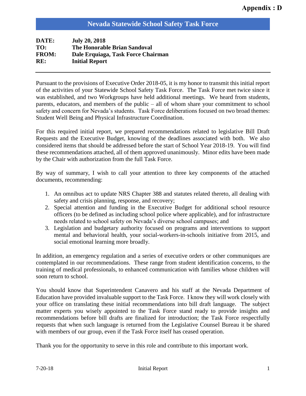## **Nevada Statewide School Safety Task Force**

| DATE:        | <b>July 20, 2018</b>                |
|--------------|-------------------------------------|
| TO:          | <b>The Honorable Brian Sandoval</b> |
| <b>FROM:</b> | Dale Erquiaga, Task Force Chairman  |
| RE:          | <b>Initial Report</b>               |
|              |                                     |

Pursuant to the provisions of Executive Order 2018-05, it is my honor to transmit this initial report of the activities of your Statewide School Safety Task Force. The Task Force met twice since it was established, and two Workgroups have held additional meetings. We heard from students, parents, educators, and members of the public – all of whom share your commitment to school safety and concern for Nevada's students. Task Force deliberations focused on two broad themes: Student Well Being and Physical Infrastructure Coordination.

For this required initial report, we prepared recommendations related to legislative Bill Draft Requests and the Executive Budget, knowing of the deadlines associated with both. We also considered items that should be addressed before the start of School Year 2018-19. You will find these recommendations attached, all of them approved unanimously. Minor edits have been made by the Chair with authorization from the full Task Force.

By way of summary, I wish to call your attention to three key components of the attached documents, recommending:

- 1. An omnibus act to update NRS Chapter 388 and statutes related thereto, all dealing with safety and crisis planning, response, and recovery;
- 2. Special attention and funding in the Executive Budget for additional school resource officers (to be defined as including school police where applicable), and for infrastructure needs related to school safety on Nevada's diverse school campuses; and
- 3. Legislation and budgetary authority focused on programs and interventions to support mental and behavioral health, your social-workers-in-schools initiative from 2015, and social emotional learning more broadly.

In addition, an emergency regulation and a series of executive orders or other communiques are contemplated in our recommendations. These range from student identification concerns, to the training of medical professionals, to enhanced communication with families whose children will soon return to school.

You should know that Superintendent Canavero and his staff at the Nevada Department of Education have provided invaluable support to the Task Force. I know they will work closely with your office on translating these initial recommendations into bill draft language. The subject matter experts you wisely appointed to the Task Force stand ready to provide insights and recommendations before bill drafts are finalized for introduction; the Task Force respectfully requests that when such language is returned from the Legislative Counsel Bureau it be shared with members of our group, even if the Task Force itself has ceased operation.

Thank you for the opportunity to serve in this role and contribute to this important work.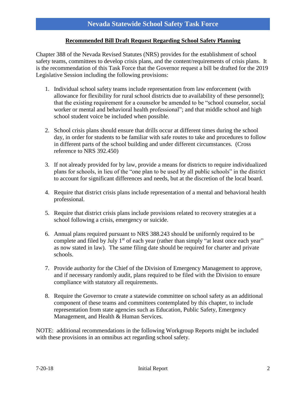#### **Recommended Bill Draft Request Regarding School Safety Planning**

Chapter 388 of the Nevada Revised Statutes (NRS) provides for the establishment of school safety teams, committees to develop crisis plans, and the content/requirements of crisis plans. It is the recommendation of this Task Force that the Governor request a bill be drafted for the 2019 Legislative Session including the following provisions:

- 1. Individual school safety teams include representation from law enforcement (with allowance for flexibility for rural school districts due to availability of these personnel); that the existing requirement for a counselor be amended to be "school counselor, social worker or mental and behavioral health professional"; and that middle school and high school student voice be included when possible.
- 2. School crisis plans should ensure that drills occur at different times during the school day, in order for students to be familiar with safe routes to take and procedures to follow in different parts of the school building and under different circumstances. (Cross reference to NRS 392.450)
- 3. If not already provided for by law, provide a means for districts to require individualized plans for schools, in lieu of the "one plan to be used by all public schools" in the district to account for significant differences and needs, but at the discretion of the local board.
- 4. Require that district crisis plans include representation of a mental and behavioral health professional.
- 5. Require that district crisis plans include provisions related to recovery strategies at a school following a crisis, emergency or suicide.
- 6. Annual plans required pursuant to NRS 388.243 should be uniformly required to be complete and filed by July  $1<sup>st</sup>$  of each year (rather than simply "at least once each year" as now stated in law). The same filing date should be required for charter and private schools.
- 7. Provide authority for the Chief of the Division of Emergency Management to approve, and if necessary randomly audit, plans required to be filed with the Division to ensure compliance with statutory all requirements.
- 8. Require the Governor to create a statewide committee on school safety as an additional component of these teams and committees contemplated by this chapter, to include representation from state agencies such as Education, Public Safety, Emergency Management, and Health & Human Services.

NOTE: additional recommendations in the following Workgroup Reports might be included with these provisions in an omnibus act regarding school safety.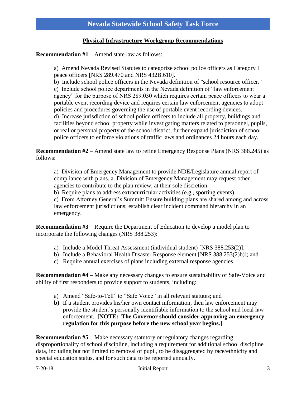#### **Physical Infrastructure Workgroup Recommendations**

#### **Recommendation #1** – Amend state law as follows:

a) Amend Nevada Revised Statutes to categorize school police officers as Category I peace officers [NRS 289.470 and NRS 432B.610].

b) Include school police officers in the Nevada definition of "school resource officer." c) Include school police departments in the Nevada definition of "law enforcement agency" for the purpose of NRS 289.030 which requires certain peace officers to wear a portable event recording device and requires certain law enforcement agencies to adopt policies and procedures governing the use of portable event recording devices. d) Increase jurisdiction of school police officers to include all property, buildings and facilities beyond school property while investigating matters related to personnel, pupils, or real or personal property of the school district; further expand jurisdiction of school police officers to enforce violations of traffic laws and ordinances 24 hours each day.

**Recommendation #2** – Amend state law to refine Emergency Response Plans (NRS 388.245) as follows:

a) Division of Emergency Management to provide NDE/Legislature annual report of compliance with plans. a. Division of Emergency Management may request other agencies to contribute to the plan review, at their sole discretion.

b) Require plans to address extracurricular activities (e.g., sporting events)

c) From Attorney General's Summit: Ensure building plans are shared among and across law enforcement jurisdictions; establish clear incident command hierarchy in an emergency.

**Recommendation #3** – Require the Department of Education to develop a model plan to incorporate the following changes (NRS 388.253):

- a) Include a Model Threat Assessment (individual student) [NRS 388.253(2)];
- b) Include a Behavioral Health Disaster Response element [NRS 388.253(2)b)]; and
- c) Require annual exercises of plans including external response agencies.

**Recommendation #4** – Make any necessary changes to ensure sustainability of Safe-Voice and ability of first responders to provide support to students, including:

- a) Amend "Safe-to-Tell" to "Safe Voice" in all relevant statutes; and
- **b)** If a student provides his/her own contact information, then law enforcement may provide the student's personally identifiable information to the school and local law enforcement. **[NOTE: The Governor should consider approving an emergency regulation for this purpose before the new school year begins.]**

**Recommendation #5** – Make necessary statutory or regulatory changes regarding disproportionality of school discipline, including a requirement for additional school discipline data, including but not limited to removal of pupil, to be disaggregated by race/ethnicity and special education status, and for such data to be reported annually.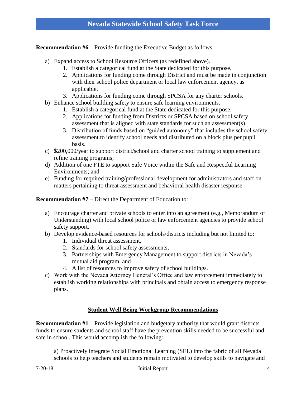**Recommendation #6** – Provide funding the Executive Budget as follows:

- a) Expand access to School Resource Officers (as redefined above).
	- 1. Establish a categorical fund at the State dedicated for this purpose.
	- 2. Applications for funding come through District and must be made in conjunction with their school police department or local law enforcement agency, as applicable.
	- 3. Applications for funding come through SPCSA for any charter schools.
- b) Enhance school building safety to ensure safe learning environments.
	- 1. Establish a categorical fund at the State dedicated for this purpose.
	- 2. Applications for funding from Districts or SPCSA based on school safety assessment that is aligned with state standards for such an assessment(s).
	- 3. Distribution of funds based on "guided autonomy" that includes the school safety assessment to identify school needs and distributed on a block plus per pupil basis.
- c) \$200,000/year to support district/school and charter school training to supplement and refine training programs;
- d) Addition of one FTE to support Safe Voice within the Safe and Respectful Learning Environments; and
- e) Funding for required training/professional development for administrators and staff on matters pertaining to threat assessment and behavioral health disaster response.

#### **Recommendation #7** – Direct the Department of Education to:

- a) Encourage charter and private schools to enter into an agreement (e.g., Memorandum of Understanding) with local school police or law enforcement agencies to provide school safety support.
- b) Develop evidence-based resources for schools/districts including but not limited to:
	- 1. Individual threat assessment,
	- 2. Standards for school safety assessments,
	- 3. Partnerships with Emergency Management to support districts in Nevada's mutual aid program, and
	- 4. A list of resources to improve safety of school buildings.
- c) Work with the Nevada Attorney General's Office and law enforcement immediately to establish working relationships with principals and obtain access to emergency response plans.

#### **Student Well Being Workgroup Recommendations**

**Recommendation #1** – Provide legislation and budgetary authority that would grant districts funds to ensure students and school staff have the prevention skills needed to be successful and safe in school. This would accomplish the following:

a) Proactively integrate Social Emotional Learning (SEL) into the fabric of all Nevada schools to help teachers and students remain motivated to develop skills to navigate and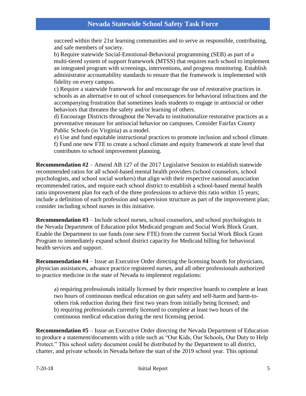succeed within their 21st learning communities and to serve as responsible, contributing, and safe members of society.

b) Require statewide Social-Emotional-Behavioral programming (SEB) as part of a multi-tiered system of support framework (MTSS) that requires each school to implement an integrated program with screenings, interventions, and progress monitoring. Establish administrator accountability standards to ensure that the framework is implemented with fidelity on every campus.

c) Require a statewide framework for and encourage the use of restorative practices in schools as an alternative to out of school consequences for behavioral infractions and the accompanying frustration that sometimes leads students to engage in antisocial or other behaviors that threaten the safety and/or learning of others.

d) Encourage Districts throughout the Nevada to institutionalize restorative practices as a preventative measure for antisocial behavior on campuses. Consider Fairfax County Public Schools (in Virginia) as a model.

e) Use and fund equitable instructional practices to promote inclusion and school climate. f) Fund one new FTE to create a school climate and equity framework at state level that contributes to school improvement planning.

**Recommendation #2** – Amend AB 127 of the 2017 Legislative Session to establish statewide recommended ratios for all school-based mental health providers (school counselors, school psychologists, and school social workers) that align with their respective national association recommended ratios, and require each school district to establish a school-based mental health ratio improvement plan for each of the three professions to achieve this ratio within 15 years; include a definition of each profession and supervision structure as part of the improvement plan; consider including school nurses in this initiative.

**Recommendation #3** – Include school nurses, school counselors, and school psychologists in the Nevada Department of Education pilot Medicaid program and Social Work Block Grant. Enable the Department to use funds (one new FTE) from the current Social Work Block Grant Program to immediately expand school district capacity for Medicaid billing for behavioral health services and support.

**Recommendation #4** – Issue an Executive Order directing the licensing boards for physicians, physician assistances, advance practice registered nurses, and all other professionals authorized to practice medicine in the state of Nevada to implement regulations:

a) requiring professionals initially licensed by their respective boards to complete at least two hours of continuous medical education on gun safety and self-harm and harm-toothers risk reduction during their first two years from initially being licensed; and b) requiring professionals currently licensed to complete at least two hours of the continuous medical education during the next licensing period.

**Recommendation #5** – Issue an Executive Order directing the Nevada Department of Education to produce a statement/documents with a title such as "Our Kids, Our Schools, Our Duty to Help Protect." This school safety document could be distributed by the Department to all district, charter, and private schools in Nevada before the start of the 2019 school year. This optional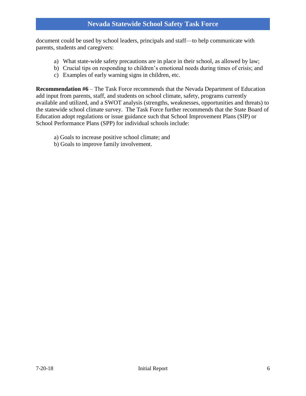document could be used by school leaders, principals and staff—to help communicate with parents, students and caregivers:

- a) What state-wide safety precautions are in place in their school, as allowed by law;
- b) Crucial tips on responding to children's emotional needs during times of crisis; and
- c) Examples of early warning signs in children, etc.

**Recommendation #6** – The Task Force recommends that the Nevada Department of Education add input from parents, staff, and students on school climate, safety, programs currently available and utilized, and a SWOT analysis (strengths, weaknesses, opportunities and threats) to the statewide school climate survey. The Task Force further recommends that the State Board of Education adopt regulations or issue guidance such that School Improvement Plans (SIP) or School Performance Plans (SPP) for individual schools include:

- a) Goals to increase positive school climate; and
- b) Goals to improve family involvement.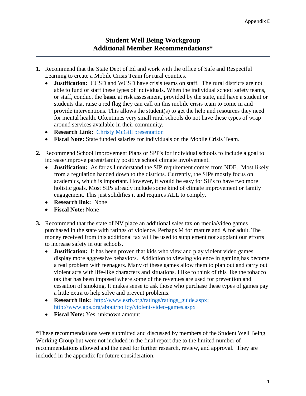- **1.** Recommend that the State Dept of Ed and work with the office of Safe and Respectful Learning to create a Mobile Crisis Team for rural counties.
	- **Justification:** CCSD and WCSD have crisis teams on staff. The rural districts are not able to fund or staff these types of individuals. When the individual school safety teams, or staff, conduct the **basic** at risk assessment, provided by the state, and have a student or students that raise a red flag they can call on this mobile crisis team to come in and provide interventions. This allows the student(s) to get the help and resources they need for mental health. Oftentimes very small rural schools do not have these types of wrap around services available in their community.
	- **Research Link:** [Christy McGill presentation](http://www.doe.nv.gov/Boards_Commissions_Councils/StatewideSchoolSafetyTaskForce/2018/June/Support_Materials/)
	- **Fiscal Note:** State funded salaries for individuals on the Mobile Crisis Team.
- **2.** Recommend School Improvement Plans or SPP's for individual schools to include a goal to increase/improve parent/family positive school climate involvement.
	- **Justification:** As far as I understand the SIP requirement comes from NDE. Most likely from a regulation handed down to the districts. Currently, the SIPs mostly focus on academics, which is important. However, it would be easy for SIPs to have two more holistic goals. Most SIPs already include some kind of climate improvement or family engagement. This just solidifies it and requires ALL to comply.
	- **Research link:** None
	- **Fiscal Note:** None
- **3.** Recommend that the state of NV place an additional sales tax on media/video games purchased in the state with ratings of violence. Perhaps M for mature and A for adult. The money received from this additional tax will be used to supplement not supplant our efforts to increase safety in our schools.
	- **Justification:** It has been proven that kids who view and play violent video games display more aggressive behaviors. Addiction to viewing violence in gaming has become a real problem with teenagers. Many of these games allow them to plan out and carry out violent acts with life-like characters and situations. I like to think of this like the tobacco tax that has been imposed where some of the revenues are used for prevention and cessation of smoking. It makes sense to ask those who purchase these types of games pay a little extra to help solve and prevent problems.
	- **Research link:** [http://www.esrb.org/ratings/ratings\\_guide.aspx;](http://www.esrb.org/ratings/ratings_guide.aspx) <http://www.apa.org/about/policy/violent-video-games.aspx>
	- **Fiscal Note:** Yes, unknown amount

\*These recommendations were submitted and discussed by members of the Student Well Being Working Group but were not included in the final report due to the limited number of recommendations allowed and the need for further research, review, and approval. They are included in the appendix for future consideration.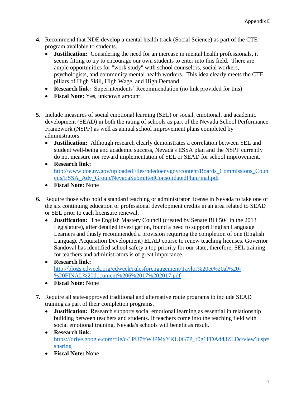- **4.** Recommend that NDE develop a mental health track (Social Science) as part of the CTE program available to students.
	- **Justification:** Considering the need for an increase in mental health professionals, it seems fitting to try to encourage our own students to enter into this field. There are ample opportunities for "work study" with school counselors, social workers, psychologists, and community mental health workers. This idea clearly meets the CTE pillars of High Skill, High Wage, and High Demand.
	- **Research link:** Superintendents' Recommendation (no link provided for this)
	- **Fiscal Note:** Yes, unknown amount
- **5.** Include measures of social emotional learning (SEL) or social, emotional, and academic development (SEAD) in both the rating of schools as part of the Nevada School Performance Framework (NSPF) as well as annual school improvement plans completed by administrators.
	- **Justification:** Although research clearly demonstrates a correlation between SEL and student well-being and academic success, Nevada's ESSA plan and the NSPF currently do not measure nor reward implementation of SEL or SEAD for school improvement.
	- **Research link:** [http://www.doe.nv.gov/uploadedFiles/ndedoenvgov/content/Boards\\_Commissions\\_Coun](http://www.doe.nv.gov/uploadedFiles/ndedoenvgov/content/Boards_Commissions_Councils/ESSA_Adv_Group/NevadaSubmittedConsolidatedPlanFinal.pdf) [cils/ESSA\\_Adv\\_Group/NevadaSubmittedConsolidatedPlanFinal.pdf](http://www.doe.nv.gov/uploadedFiles/ndedoenvgov/content/Boards_Commissions_Councils/ESSA_Adv_Group/NevadaSubmittedConsolidatedPlanFinal.pdf)
	- **Fiscal Note:** None
- **6.** Require those who hold a standard teaching or administrator license in Nevada to take one of the six continuing education or professional development credits in an area related to SEAD or SEL prior to each licensure renewal.
	- **Justification:** The English Mastery Council (created by Senate Bill 504 in the 2013 Legislature), after detailed investigation, found a need to support English Language Learners and thusly recommended a provision requiring the completion of one (English Language Acquisition Development) ELAD course to renew teaching licenses. Governor Sandoval has identified school safety a top priority for our state; therefore, SEL training for teachers and administrators is of great importance.
	- **Research link:** [http://blogs.edweek.org/edweek/rulesforengagement/Taylor%20et%20al%20-](http://blogs.edweek.org/edweek/rulesforengagement/Taylor%20et%20al%20-%20FINAL%20document%206%2017%202017.pdf) [%20FINAL%20document%206%2017%202017.pdf](http://blogs.edweek.org/edweek/rulesforengagement/Taylor%20et%20al%20-%20FINAL%20document%206%2017%202017.pdf)
	- **Fiscal Note:** None
- **7.** Require all state-approved traditional and alternative route programs to include SEAD training as part of their completion programs.
	- **Justification:** Research supports social emotional learning as essential in relationship building between teachers and students. If teachers come into the teaching field with social emotional training, Nevada's schools will benefit as result.
	- **Research link:** [https://drive.google.com/file/d/1PU7frWJPMxYKU0G7P\\_r0g1FDAd43ZLDc/view?usp=](https://drive.google.com/file/d/1PU7frWJPMxYKU0G7P_r0g1FDAd43ZLDc/view?usp=sharing) [sharing](https://drive.google.com/file/d/1PU7frWJPMxYKU0G7P_r0g1FDAd43ZLDc/view?usp=sharing)
	- **Fiscal Note:** None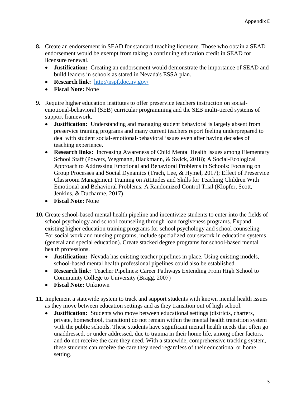- **8.** Create an endorsement in SEAD for standard teaching licensure. Those who obtain a SEAD endorsement would be exempt from taking a continuing education credit in SEAD for licensure renewal.
	- **Justification:** Creating an endorsement would demonstrate the importance of SEAD and build leaders in schools as stated in Nevada's ESSA plan.
	- **Research link:** <http://nspf.doe.nv.gov/>
	- **Fiscal Note:** None
- **9.** Require higher education institutes to offer preservice teachers instruction on socialemotional-behavioral (SEB) curricular programming and the SEB multi-tiered systems of support framework.
	- **Justification:** Understanding and managing student behavioral is largely absent from preservice training programs and many current teachers report feeling underprepared to deal with student social-emotional-behavioral issues even after having decades of teaching experience.
	- **Research links:** Increasing Awareness of Child Mental Health Issues among Elementary School Staff (Powers, Wegmann, Blackmann, & Swick, 2018); A Social-Ecological Approach to Addressing Emotional and Behavioral Problems in Schools: Focusing on Group Processes and Social Dynamics (Trach, Lee, & Hymel, 2017); Effect of Preservice Classroom Management Training on Attitudes and Skills for Teaching Children With Emotional and Behavioral Problems: A Randomized Control Trial (Klopfer, Scott, Jenkins, & Ducharme, 2017)
	- **Fiscal Note:** None
- **10.** Create school-based mental health pipeline and incentivize students to enter into the fields of school psychology and school counseling through loan forgiveness programs. Expand existing higher education training programs for school psychology and school counseling. For social work and nursing programs, include specialized coursework in education systems (general and special education). Create stacked degree programs for school-based mental health professions.
	- **Justification:** Nevada has existing teacher pipelines in place. Using existing models, school-based mental health professional pipelines could also be established.
	- **Research link:** Teacher Pipelines: Career Pathways Extending From High School to Community College to University (Bragg, 2007)
	- **Fiscal Note:** Unknown

**11.** Implement a statewide system to track and support students with known mental health issues as they move between education settings and as they transition out of high school.

• **Justification:** Students who move between educational settings (districts, charters, private, homeschool, transition) do not remain within the mental health transition system with the public schools. These students have significant mental health needs that often go unaddressed, or under addressed, due to trauma in their home life, among other factors, and do not receive the care they need. With a statewide, comprehensive tracking system, these students can receive the care they need regardless of their educational or home setting.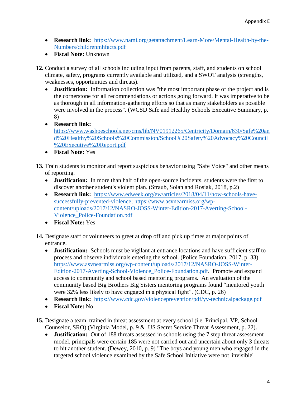- **Research link:** [https://www.nami.org/getattachment/Learn-More/Mental-Health-by-the-](https://www.nami.org/getattachment/Learn-More/Mental-Health-by-the-Numbers/childrenmhfacts.pdf)[Numbers/childrenmhfacts.pdf](https://www.nami.org/getattachment/Learn-More/Mental-Health-by-the-Numbers/childrenmhfacts.pdf)
- **Fiscal Note:** Unknown

**12.** Conduct a survey of all schools including input from parents, staff, and students on school climate, safety, programs currently available and utilized, and a SWOT analysis (strengths, weaknesses, opportunities and threats).

- **Justification:** Information collection was "the most important phase of the project and is the cornerstone for all recommendations or actions going forward. It was imperative to be as thorough in all information-gathering efforts so that as many stakeholders as possible were involved in the process". (WCSD Safe and Healthy Schools Executive Summary, p. 8)
- **Research link:**  [https://www.washoeschools.net/cms/lib/NV01912265/Centricity/Domain/630/Safe%20an](https://www.washoeschools.net/cms/lib/NV01912265/Centricity/Domain/630/Safe%20and%20Healthy%20Schools%20Commission/School%20Safety%20Advocacy%20Council%20Executive%20Report.pdf) [d%20Healthy%20Schools%20Commission/School%20Safety%20Advocacy%20Council](https://www.washoeschools.net/cms/lib/NV01912265/Centricity/Domain/630/Safe%20and%20Healthy%20Schools%20Commission/School%20Safety%20Advocacy%20Council%20Executive%20Report.pdf) [%20Executive%20Report.pdf](https://www.washoeschools.net/cms/lib/NV01912265/Centricity/Domain/630/Safe%20and%20Healthy%20Schools%20Commission/School%20Safety%20Advocacy%20Council%20Executive%20Report.pdf)
- **Fiscal Note:** Yes

**13.** Train students to monitor and report suspicious behavior using "Safe Voice" and other means of reporting.

- **Justification:** In more than half of the open-source incidents, students were the first to discover another student's violent plan. (Straub, Solan and Rosiak, 2018, p.2)
- **Research link:** [https://www.edweek.org/ew/articles/2018/04/11/how-schools-have](https://www.edweek.org/ew/articles/2018/04/11/how-schools-have-successfully-prevented-violence)[successfully-prevented-violence;](https://www.edweek.org/ew/articles/2018/04/11/how-schools-have-successfully-prevented-violence) [https://www.asvnearmiss.org/wp](https://www.asvnearmiss.org/wp-content/uploads/2017/12/NASRO-JOSS-Winter-Edition-2017-Averting-School-Violence_Police-Foundation.pdf)[content/uploads/2017/12/NASRO-JOSS-Winter-Edition-2017-Averting-School-](https://www.asvnearmiss.org/wp-content/uploads/2017/12/NASRO-JOSS-Winter-Edition-2017-Averting-School-Violence_Police-Foundation.pdf)[Violence\\_Police-Foundation.pdf](https://www.asvnearmiss.org/wp-content/uploads/2017/12/NASRO-JOSS-Winter-Edition-2017-Averting-School-Violence_Police-Foundation.pdf)
- **Fiscal Note:** Yes
- **14.** Designate staff or volunteers to greet at drop off and pick up times at major points of entrance.
	- **Justification:** Schools must be vigilant at entrance locations and have sufficient staff to process and observe individuals entering the school. (Police Foundation, 2017, p. 33) [https://www.asvnearmiss.org/wp-content/uploads/2017/12/NASRO-JOSS-Winter-](https://www.asvnearmiss.org/wp-content/uploads/2017/12/NASRO-JOSS-Winter-Edition-2017-Averting-School-Violence_Police-Foundation.pdf)[Edition-2017-Averting-School-Violence\\_Police-Foundation.pdf.](https://www.asvnearmiss.org/wp-content/uploads/2017/12/NASRO-JOSS-Winter-Edition-2017-Averting-School-Violence_Police-Foundation.pdf) Promote and expand access to community and school based mentoring programs. An evaluation of the community based Big Brothers Big Sisters mentoring programs found "mentored youth were 32% less likely to have engaged in a physical fight". (CDC, p. 26)
	- **Research link:** <https://www.cdc.gov/violenceprevention/pdf/yv-technicalpackage.pdf>
	- **Fiscal Note:** No
- **15.** Designate a team trained in threat assessment at every school (i.e. Principal, VP, School Counselor, SRO) (Virginia Model, p. 9 & US Secret Service Threat Assessment, p. 22).
	- **Justification:** Out of 188 threats assessed in schools using the 7 step threat assessment model, principals were certain 185 were not carried out and uncertain about only 3 threats to hit another student. (Dewey, 2010, p. 9) "The boys and young men who engaged in the targeted school violence examined by the Safe School Initiative were not 'invisible'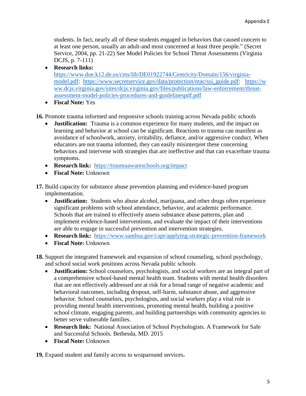students. In fact, nearly all of these students engaged in behaviors that caused concern to at least one person, usually an adult-and most concerned at least three people." (Secret Service, 2004, pp. 21-22) See Model Policies for School Threat Assessments (Virginia DCJS, p. 7-111)

- **Research links:**  [https://www.doe.k12.de.us/cms/lib/DE01922744/Centricity/Domain/156/virginia](https://www.doe.k12.de.us/cms/lib/DE01922744/Centricity/Domain/156/virginia-model.pdf)[model.pdf;](https://www.doe.k12.de.us/cms/lib/DE01922744/Centricity/Domain/156/virginia-model.pdf) [https://www.secretservice.gov/data/protection/ntac/ssi\\_guide.pdf;](https://www.secretservice.gov/data/protection/ntac/ssi_guide.pdf) [https://w](https://www.dcjs.virginia.gov/sites/dcjs.virginia.gov/files/publications/law-enforcement/threat-assessment-model-policies-procedures-and-guidelinespdf.pdf) [ww.dcjs.virginia.gov/sites/dcjs.virginia.gov/files/publications/law-enforcement/threat](https://www.dcjs.virginia.gov/sites/dcjs.virginia.gov/files/publications/law-enforcement/threat-assessment-model-policies-procedures-and-guidelinespdf.pdf)[assessment-model-policies-procedures-and-guidelinespdf.pdf](https://www.dcjs.virginia.gov/sites/dcjs.virginia.gov/files/publications/law-enforcement/threat-assessment-model-policies-procedures-and-guidelinespdf.pdf)
- **Fiscal Note:** Yes
- **16.** Promote trauma informed and responsive schools training across Nevada public schools
	- **Justification:** Trauma is a common experience for many students, and the impact on learning and behavior at school can be significant. Reactions to trauma can manifest as avoidance of schoolwork, anxiety, irritability, defiance, and/or aggressive conduct. When educators are not trauma informed, they can easily misinterpret these concerning behaviors and intervene with strategies that are ineffective and that can exacerbate trauma symptoms.
	- **Research link:** <https://traumaawareschools.org/impact>
	- **Fiscal Note:** Unknown
- **17.** Build capacity for substance abuse prevention planning and evidence-based program implementation.
	- **Justification:** Students who abuse alcohol, marijuana, and other drugs often experience significant problems with school attendance, behavior, and academic performance. Schools that are trained to effectively assess substance abuse patterns, plan and implement evidence-based interventions, and evaluate the impact of their interventions are able to engage in successful prevention and intervention strategies.
	- **Research link:** <https://www.samhsa.gov/capt/applying-strategic-prevention-framework>
	- **Fiscal Note:** Unknown
- **18.** Support the integrated framework and expansion of school counseling, school psychology, and school social work positions across Nevada public schools
	- **Justification:** School counselors, psychologists, and social workers are an integral part of a comprehensive school-based mental health team. Students with mental health disorders that are not effectively addressed are at risk for a broad range of negative academic and behavioral outcomes, including dropout, self-harm, substance abuse, and aggressive behavior. School counselors, psychologists, and social workers play a vital role in providing mental health interventions, promoting mental health, building a positive school climate, engaging parents, and building partnerships with community agencies to better serve vulnerable families.
	- **Research link:** National Association of School Psychologists. A Framework for Safe and Successful Schools. Bethesda, MD. 2015
	- **Fiscal Note:** Unknown

**19.** Expand student and family access to wraparound services**.**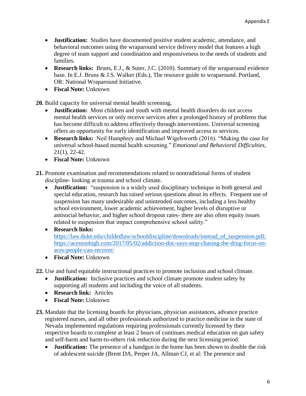- **Justification:** Studies have documented positive student academic, attendance, and behavioral outcomes using the wraparound service delivery model that features a high degree of team support and coordination and responsiveness to the needs of students and families.
- **Research links:** Bruns, E.J., & Suter, J.C. (2010). Summary of the wraparound evidence base. In E.J. Bruns & J.S. Walker (Eds.), The resource guide to wraparound. Portland, OR: National Wraparound Initiative.
- **Fiscal Note:** Unknown

**20.** Build capacity for universal mental health screening**.**

- **Justification:** Most children and youth with mental health disorders do not access mental health services or only receive services after a prolonged history of problems that has become difficult to address effectively through interventions. Universal screening offers an opportunity for early identification and improved access to services.
- **Research links:** Neil Humphrey and Michael Wigelsworth (2016). "Making the case for universal school-based mental health screening." *Emotional and Behavioral Difficulties*, 21(1), 22-42.
- **Fiscal Note:** Unknown

**21.** Promote examination and recommendations related to nontraditional forms of student discipline- looking at trauma and school climate.

- **Justification:** "suspension is a widely used disciplinary technique in both general and special education, research has raised serious questions about its effects. Frequent use of suspension has many undesirable and unintended outcomes, including a less healthy school environment, lower academic achievement, higher levels of disruptive or antisocial behavior, and higher school dropout rates- there are also often equity issues related to suspension that impact comprehensive school safety."
- **Research links:** https://law.duke.edu/childedlaw/schooldiscipline/downloads/instead of suspension.pdf; [https://acestoohigh.com/2017/05/02/addiction-doc-says-stop-chasing-the-drug-focus-on](https://acestoohigh.com/2017/05/02/addiction-doc-says-stop-chasing-the-drug-focus-on-aces-people-can-recover/)[aces-people-can-recover/](https://acestoohigh.com/2017/05/02/addiction-doc-says-stop-chasing-the-drug-focus-on-aces-people-can-recover/)
- **Fiscal Note:** Unknown

**22.** Use and fund equitable instructional practices to promote inclusion and school climate.

- **Justification:** Inclusive practices and school climate promote student safety by supporting all students and including the voice of all students.
- **Research link:** Articles
- **Fiscal Note:** Unknown
- **23.** Mandate that the licensing boards for physicians, physician assistances, advance practice registered nurses, and all other professionals authorized to practice medicine in the state of Nevada implemented regulations requiring professionals currently licensed by their respective boards to complete at least 2 hours of continues medical education on gun safety and self-harm and harm-to-others risk reduction during the next licensing period.
	- **Justification:** The presence of a handgun in the home has been shown to double the risk of adolescent suicide (Brent DA, Perper JA, Allman CJ, et al: The presence and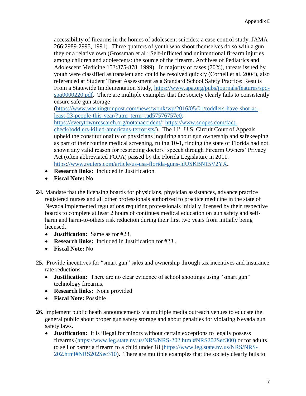accessibility of firearms in the homes of adolescent suicides: a case control study. JAMA 266:2989-2995, 1991). Three quarters of youth who shoot themselves do so with a gun they or a relative own (Grossman et al.: Self-inflicted and unintentional firearm injuries among children and adolescents: the source of the firearm. Archives of Pediatrics and Adolescent Medicine 153:875-878, 1999). In majority of cases (70%), threats issued by youth were classified as transient and could be resolved quickly (Cornell et al. 2004), also referenced at Student Threat Assessment as a Standard School Safety Practice: Results From a Statewide Implementation Study, [https://www.apa.org/pubs/journals/features/spq](https://www.apa.org/pubs/journals/features/spq-spq0000220.pdf)[spq0000220.pdf.](https://www.apa.org/pubs/journals/features/spq-spq0000220.pdf) There are multiple examples that the society clearly fails to consistently ensure safe gun storage

[\(https://www.washingtonpost.com/news/wonk/wp/2016/05/01/toddlers-have-shot-at](https://www.washingtonpost.com/news/wonk/wp/2016/05/01/toddlers-have-shot-at-least-23-people-this-year/?utm_term=.ad57576757e0)[least-23-people-this-year/?utm\\_term=.ad57576757e0;](https://www.washingtonpost.com/news/wonk/wp/2016/05/01/toddlers-have-shot-at-least-23-people-this-year/?utm_term=.ad57576757e0)

[https://everytownresearch.org/notanaccident/;](https://everytownresearch.org/notanaccident/) [https://www.snopes.com/fact](https://www.snopes.com/fact-check/toddlers-killed-americans-terrorists/)[check/toddlers-killed-americans-terrorists/\)](https://www.snopes.com/fact-check/toddlers-killed-americans-terrorists/). The 11<sup>th</sup> U.S. Circuit Court of Appeals upheld the constitutionality of physicians inquiring about gun ownership and safekeeping as part of their routine medical screening, ruling 10-1, finding the state of Florida had not shown any valid reason for restricting doctors' speech through Firearm Owners' Privacy Act (often abbreviated FOPA) passed by the Florida Legislature in 2011. <https://www.reuters.com/article/us-usa-florida-guns-idUSKBN15V2YX>**.** 

- **Research links:** Included in Justification
- **Fiscal Note:** No
- **24.** Mandate that the licensing boards for physicians, physician assistances, advance practice registered nurses and all other professionals authorized to practice medicine in the state of Nevada implemented regulations requiring professionals initially licensed by their respective boards to complete at least 2 hours of continues medical education on gun safety and selfharm and harm-to-others risk reduction during their first two years from initially being licensed.
	- **Justification:** Same as for #23.
	- **Research links:** Included in Justification for #23 .
	- **Fiscal Note:** No
- **25.** Provide incentives for "smart gun" sales and ownership through tax incentives and insurance rate reductions.
	- **Justification:** There are no clear evidence of school shootings using "smart gun" technology firearms.
	- **Research links:** None provided
	- **Fiscal Note:** Possible
- **26.** Implement public heath announcements via multiple media outreach venues to educate the general public about proper gun safety storage and about penalties for violating Nevada gun safety laws.
	- **Justification:** It is illegal for minors without certain exceptions to legally possess firearms [\(https://www.leg.state.nv.us/NRS/NRS-202.html#NRS202Sec300\)](https://www.leg.state.nv.us/NRS/NRS-202.html#NRS202Sec300) or for adults to sell or barter a firearm to a child under 18 [\(https://www.leg.state.nv.us/NRS/NRS-](https://www.leg.state.nv.us/NRS/NRS-202.html#NRS202Sec310)[202.html#NRS202Sec310\)](https://www.leg.state.nv.us/NRS/NRS-202.html#NRS202Sec310). There are multiple examples that the society clearly fails to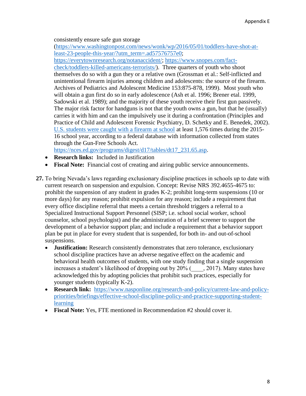consistently ensure safe gun storage

[\(https://www.washingtonpost.com/news/wonk/wp/2016/05/01/toddlers-have-shot-at](https://www.washingtonpost.com/news/wonk/wp/2016/05/01/toddlers-have-shot-at-least-23-people-this-year/?utm_term=.ad57576757e0)[least-23-people-this-year/?utm\\_term=.ad57576757e0;](https://www.washingtonpost.com/news/wonk/wp/2016/05/01/toddlers-have-shot-at-least-23-people-this-year/?utm_term=.ad57576757e0)

[https://everytownresearch.org/notanaccident/;](https://everytownresearch.org/notanaccident/) [https://www.snopes.com/fact](https://www.snopes.com/fact-check/toddlers-killed-americans-terrorists/)[check/toddlers-killed-americans-terrorists/\)](https://www.snopes.com/fact-check/toddlers-killed-americans-terrorists/). Three quarters of youth who shoot themselves do so with a gun they or a relative own (Grossman et al.: Self-inflicted and unintentional firearm injuries among children and adolescents: the source of the firearm. Archives of Pediatrics and Adolescent Medicine 153:875-878, 1999). Most youth who will obtain a gun first do so in early adolescence (Ash et al. 1996; Brener etal. 1999, Sadowski et al. 1989); and the majority of these youth receive their first gun passively. The major risk factor for handguns is not that the youth owns a gun, but that he (usually) carries it with him and can the impulsively use it during a confrontation (Principles and Practice of Child and Adolescent Forensic Psychiatry, D. Schetky and E. Benedek, 2002). U.S. students were caught with a firearm at school at least 1,576 times during the 2015- 16 school year, according to a federal database with information collected from states through the Gun-Free Schools Act.

[https://nces.ed.gov/programs/digest/d17/tables/dt17\\_231.65.asp.](https://nces.ed.gov/programs/digest/d17/tables/dt17_231.65.asp)

- **Research links:** Included in Justification
- **Fiscal Note:** Financial cost of creating and airing public service announcements.
- **27.** To bring Nevada's laws regarding exclusionary discipline practices in schools up to date with current research on suspension and expulsion. Concept: Revise NRS 392.4655-4675 to: prohibit the suspension of any student in grades K-2; prohibit long-term suspensions (10 or more days) for any reason; prohibit expulsion for any reason; include a requirement that every office discipline referral that meets a certain threshold triggers a referral to a Specialized Instructional Support Personnel (SISP; i.e. school social worker, school counselor, school psychologist) and the administration of a brief screener to support the development of a behavior support plan; and include a requirement that a behavior support plan be put in place for every student that is suspended, for both in- and out-of-school suspensions.
	- **Justification:** Research consistently demonstrates that zero tolerance, exclusionary school discipline practices have an adverse negative effect on the academic and behavioral health outcomes of students, with one study finding that a single suspension increases a student's likelihood of dropping out by 20% (  $\qquad$ , 2017). Many states have acknowledged this by adopting policies that prohibit such practices, especially for younger students (typically K-2).
	- **Research link:** [https://www.nasponline.org/research-and-policy/current-law-and-policy](https://www.nasponline.org/research-and-policy/current-law-and-policy-priorities/briefings/effective-school-discipline-policy-and-practice-supporting-student-learning)[priorities/briefings/effective-school-discipline-policy-and-practice-supporting-student](https://www.nasponline.org/research-and-policy/current-law-and-policy-priorities/briefings/effective-school-discipline-policy-and-practice-supporting-student-learning)[learning](https://www.nasponline.org/research-and-policy/current-law-and-policy-priorities/briefings/effective-school-discipline-policy-and-practice-supporting-student-learning)
	- **Fiscal Note:** Yes, FTE mentioned in Recommendation #2 should cover it.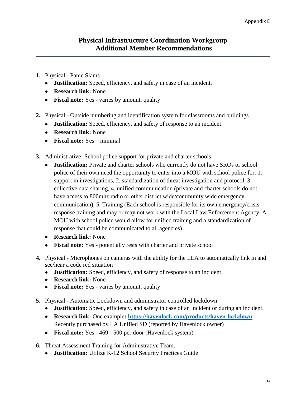- **1.** Physical Panic Slams
	- **Justification:** Speed, efficiency, and safety in case of an incident.
	- **Research link:** None
	- **Fiscal note:** Yes varies by amount, quality
- **2.** Physical Outside numbering and identification system for classrooms and buildings
	- **Justification:** Speed, efficiency, and safety of response to an incident.
	- **Research link:** None
	- **Fiscal note:** Yes minimal
- **3.** Administrative -School police support for private and charter schools
	- **Justification:** Private and charter schools who currently do not have SROs or school police of their own need the opportunity to enter into a MOU with school police for: 1. support in investigations, 2. standardization of threat investigation and protocol, 3. collective data sharing, 4. unified communication (private and charter schools do not have access to 800mhz radio or other district wide/community wide emergency communication), 5. Training (Each school is responsible for its own emergency/crisis response training and may or may not work with the Local Law Enforcement Agency. A MOU with school police would allow for unified training and a standardization of response that could be communicated to all agencies).
	- **Research link:** None
	- **Fiscal note:** Yes potentially rests with charter and private school
- **4.** Physical Microphones on cameras with the ability for the LEA to automatically link in and see/hear a code red situation
	- **Justification:** Speed, efficiency, and safety of response to an incident.
	- **Research link:** None
	- **Fiscal note:** Yes varies by amount, quality
- **5.** Physical Automatic Lockdown and administrator controlled lockdown.
	- **Justification:** Speed, efficiency, and safety in case of an incident or during an incident.
	- **Research link:** One example**:<https://havenlock.com/products/haven-lockdown>** Recently purchased by LA Unified SD (reported by Havenlock owner)
	- **Fiscal note:** Yes 469 500 per door (Havenlock system)
- **6.** Threat Assessment Training for Administrative Team.
	- **Justification:** Utilize K-12 School Security Practices Guide